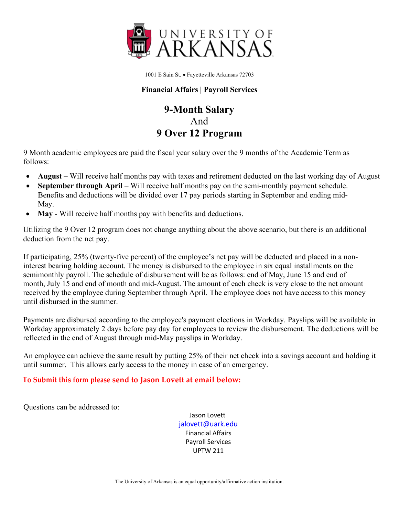

1001 E Sain St. • Fayetteville Arkansas 72703

## **Financial Affairs | Payroll Services**

# **9-Month Salary**  And **9 Over 12 Program**

9 Month academic employees are paid the fiscal year salary over the 9 months of the Academic Term as follows:

- **August** Will receive half months pay with taxes and retirement deducted on the last working day of August
- **September through April** Will receive half months pay on the semi-monthly payment schedule. Benefits and deductions will be divided over 17 pay periods starting in September and ending mid-May.
- **May** Will receive half months pay with benefits and deductions.

Utilizing the 9 Over 12 program does not change anything about the above scenario, but there is an additional deduction from the net pay.

If participating, 25% (twenty-five percent) of the employee's net pay will be deducted and placed in a noninterest bearing holding account. The money is disbursed to the employee in six equal installments on the semimonthly payroll. The schedule of disbursement will be as follows: end of May, June 15 and end of month, July 15 and end of month and mid-August. The amount of each check is very close to the net amount received by the employee during September through April. The employee does not have access to this money until disbursed in the summer.

Payments are disbursed according to the employee's payment elections in Workday. Payslips will be available in Workday approximately 2 days before pay day for employees to review the disbursement. The deductions will be reflected in the end of August through mid-May payslips in Workday.

An employee can achieve the same result by putting 25% of their net check into a savings account and holding it until summer. This allows early access to the money in case of an emergency.

## **To Submit this form please send to Jason Lovett at email below:**

Questions can be addressed to:

Jason Lovett [jalovett@uark.edu](mailto:jalovett@uark.edu) Financial Affairs Payroll Services UPTW 211